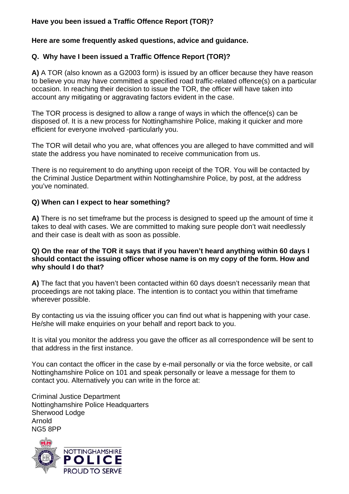# **Have you been issued a Traffic Offence Report (TOR)?**

# **Here are some frequently asked questions, advice and guidance.**

# **Q. Why have I been issued a Traffic Offence Report (TOR)?**

**A)** A TOR (also known as a G2003 form) is issued by an officer because they have reason to believe you may have committed a specified road traffic-related offence(s) on a particular occasion. In reaching their decision to issue the TOR, the officer will have taken into account any mitigating or aggravating factors evident in the case.

The TOR process is designed to allow a range of ways in which the offence(s) can be disposed of. It is a new process for Nottinghamshire Police, making it quicker and more efficient for everyone involved -particularly you.

The TOR will detail who you are, what offences you are alleged to have committed and will state the address you have nominated to receive communication from us.

There is no requirement to do anything upon receipt of the TOR. You will be contacted by the Criminal Justice Department within Nottinghamshire Police, by post, at the address you've nominated.

#### **Q) When can I expect to hear something?**

**A)** There is no set timeframe but the process is designed to speed up the amount of time it takes to deal with cases. We are committed to making sure people don't wait needlessly and their case is dealt with as soon as possible.

#### **Q) On the rear of the TOR it says that if you haven't heard anything within 60 days I should contact the issuing officer whose name is on my copy of the form. How and why should I do that?**

**A)** The fact that you haven't been contacted within 60 days doesn't necessarily mean that proceedings are not taking place. The intention is to contact you within that timeframe wherever possible.

By contacting us via the issuing officer you can find out what is happening with your case. He/she will make enquiries on your behalf and report back to you.

It is vital you monitor the address you gave the officer as all correspondence will be sent to that address in the first instance.

You can contact the officer in the case by e-mail personally or via the force website, or call Nottinghamshire Police on 101 and speak personally or leave a message for them to contact you. Alternatively you can write in the force at:

Criminal Justice Department Nottinghamshire Police Headquarters Sherwood Lodge Arnold NG5 8PP

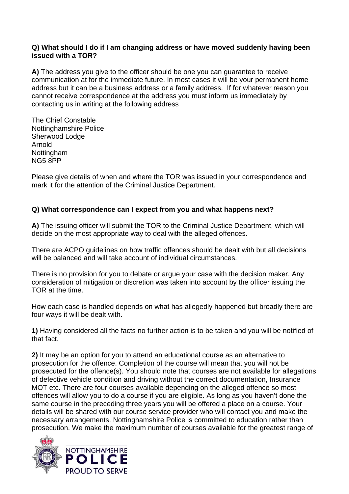# **Q) What should I do if I am changing address or have moved suddenly having been issued with a TOR?**

**A)** The address you give to the officer should be one you can guarantee to receive communication at for the immediate future. In most cases it will be your permanent home address but it can be a business address or a family address. If for whatever reason you cannot receive correspondence at the address you must inform us immediately by contacting us in writing at the following address

The Chief Constable Nottinghamshire Police Sherwood Lodge Arnold Nottingham NG5 8PP

Please give details of when and where the TOR was issued in your correspondence and mark it for the attention of the Criminal Justice Department.

# **Q) What correspondence can I expect from you and what happens next?**

**A)** The issuing officer will submit the TOR to the Criminal Justice Department, which will decide on the most appropriate way to deal with the alleged offences.

There are ACPO guidelines on how traffic offences should be dealt with but all decisions will be balanced and will take account of individual circumstances.

There is no provision for you to debate or argue your case with the decision maker. Any consideration of mitigation or discretion was taken into account by the officer issuing the TOR at the time.

How each case is handled depends on what has allegedly happened but broadly there are four ways it will be dealt with.

**1)** Having considered all the facts no further action is to be taken and you will be notified of that fact.

**2)** It may be an option for you to attend an educational course as an alternative to prosecution for the offence. Completion of the course will mean that you will not be prosecuted for the offence(s). You should note that courses are not available for allegations of defective vehicle condition and driving without the correct documentation, Insurance MOT etc. There are four courses available depending on the alleged offence so most offences will allow you to do a course if you are eligible. As long as you haven't done the same course in the preceding three years you will be offered a place on a course. Your details will be shared with our course service provider who will contact you and make the necessary arrangements. Nottinghamshire Police is committed to education rather than prosecution. We make the maximum number of courses available for the greatest range of

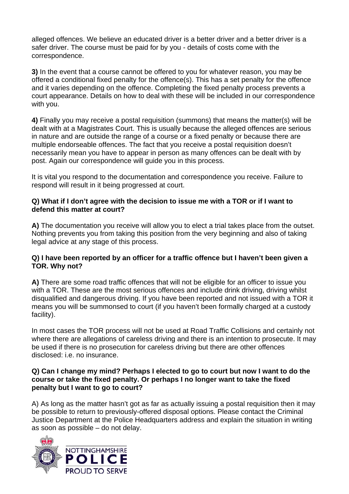alleged offences. We believe an educated driver is a better driver and a better driver is a safer driver. The course must be paid for by you - details of costs come with the correspondence.

**3)** In the event that a course cannot be offered to you for whatever reason, you may be offered a conditional fixed penalty for the offence(s). This has a set penalty for the offence and it varies depending on the offence. Completing the fixed penalty process prevents a court appearance. Details on how to deal with these will be included in our correspondence with you.

**4)** Finally you may receive a postal requisition (summons) that means the matter(s) will be dealt with at a Magistrates Court. This is usually because the alleged offences are serious in nature and are outside the range of a course or a fixed penalty or because there are multiple endorseable offences. The fact that you receive a postal requisition doesn't necessarily mean you have to appear in person as many offences can be dealt with by post. Again our correspondence will guide you in this process.

It is vital you respond to the documentation and correspondence you receive. Failure to respond will result in it being progressed at court.

# **Q) What if I don't agree with the decision to issue me with a TOR or if I want to defend this matter at court?**

**A)** The documentation you receive will allow you to elect a trial takes place from the outset. Nothing prevents you from taking this position from the very beginning and also of taking legal advice at any stage of this process.

#### **Q) I have been reported by an officer for a traffic offence but I haven't been given a TOR. Why not?**

**A)** There are some road traffic offences that will not be eligible for an officer to issue you with a TOR. These are the most serious offences and include drink driving, driving whilst disqualified and dangerous driving. If you have been reported and not issued with a TOR it means you will be summonsed to court (if you haven't been formally charged at a custody facility).

In most cases the TOR process will not be used at Road Traffic Collisions and certainly not where there are allegations of careless driving and there is an intention to prosecute. It may be used if there is no prosecution for careless driving but there are other offences disclosed: i.e. no insurance.

#### **Q) Can I change my mind? Perhaps I elected to go to court but now I want to do the course or take the fixed penalty. Or perhaps I no longer want to take the fixed penalty but I want to go to court?**

A) As long as the matter hasn't got as far as actually issuing a postal requisition then it may be possible to return to previously-offered disposal options. Please contact the Criminal Justice Department at the Police Headquarters address and explain the situation in writing as soon as possible – do not delay.